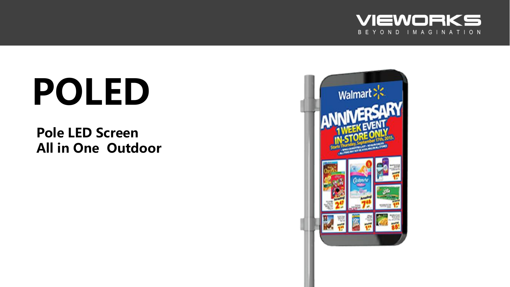

# **POLED**

**Pole LED Screen All in One Outdoor**

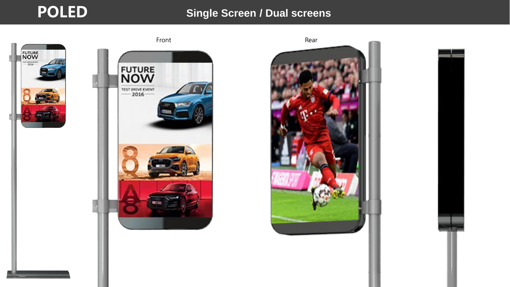## **POLED**

### **Single Screen / Dual screens**







−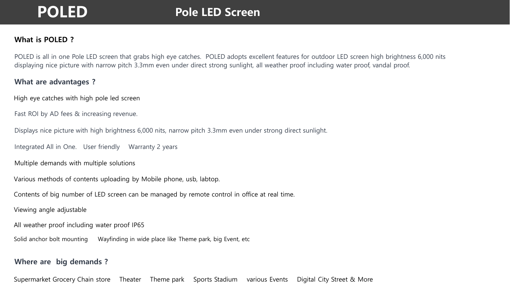#### What is POLED ?

POLED is all in one Pole LED screen that grabs high eye catches. POLED adopts excellent features for outdoor LED screen high brightness 6,000 nits displaying nice picture with narrow pitch 3.3mm even under direct strong sunlight, all weather proof including water proof, vandal proof.

#### What are advantages ?

High eye catches with high pole led screen

Fast ROI by AD fees & increasing revenue.

Displays nice picture with high brightness 6,000 nits, narrow pitch 3.3mm even under strong direct sunlight.

Integrated All in One. User friendly Warranty 2 years

Multiple demands with multiple solutions

Various methods of contents uploading by Mobile phone, usb, labtop.

Contents of big number of LED screen can be managed by remote control in office at real time.

Viewing angle adjustable

All weather proof including water proof IP65

Solid anchor bolt mounting Wayfinding in wide place like Theme park, big Event, etc

#### Where are big demands ?

Supermarket Grocery Chain store Theater Theme park Sports Stadium various Events Digital City Street & More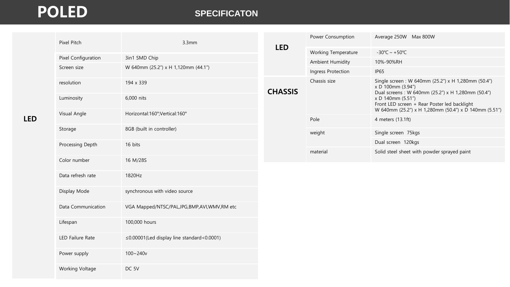## **POLED SPECIFICATON**

| Pixel Pitch            | 3.3mm                                           |  |
|------------------------|-------------------------------------------------|--|
| Pixel Configuration    | 3in1 SMD Chip                                   |  |
| Screen size            | W 640mm (25.2") x H 1,120mm (44.1")             |  |
| resolution             | 194 x 339                                       |  |
| Luminosity             | 6,000 nits                                      |  |
| Visual Angle           | Horizontal:160°; Vertical:160°                  |  |
| Storage                | 8GB (built in controller)                       |  |
| Processing Depth       | 16 bits                                         |  |
| Color number           | 16 M/28S                                        |  |
| Data refresh rate      | 1820Hz                                          |  |
| Display Mode           | synchronous with video source                   |  |
| Data Communication     | VGA Mapped/NTSC/PAL, JPG, BMP, AVI, WMV, RM etc |  |
| Lifespan               | 100,000 hours                                   |  |
| LED Failure Rate       | ≤0.00001(Led display line standard<0.0001)      |  |
| Power supply           | $100 - 240v$                                    |  |
| <b>Working Voltage</b> | DC 5V                                           |  |

| <b>LED</b>     | Power Consumption   | Average 250W Max 800W                                                                                                                                                                                                                                      |
|----------------|---------------------|------------------------------------------------------------------------------------------------------------------------------------------------------------------------------------------------------------------------------------------------------------|
|                | Working Temperature | $-30^{\circ}$ C ~ +50 $^{\circ}$ C                                                                                                                                                                                                                         |
|                | Ambient Humidity    | 10%-90%RH                                                                                                                                                                                                                                                  |
|                | Ingress Protection  | IP <sub>65</sub>                                                                                                                                                                                                                                           |
| <b>CHASSIS</b> | Chassis size        | Single screen: W 640mm (25.2") x H 1,280mm (50.4")<br>x D 100mm (3.94")<br>Dual screens: W 640mm (25.2") x H 1,280mm (50.4")<br>x D 140mm (5.51")<br>Front LED screen + Rear Poster led backlight<br>W 640mm (25.2") x H 1,280mm (50.4") x D 140mm (5.51") |
|                | Pole                | 4 meters (13.1ft)                                                                                                                                                                                                                                          |
|                | weight              | Single screen 75kgs                                                                                                                                                                                                                                        |
|                |                     | Dual screen 120kgs                                                                                                                                                                                                                                         |
|                | material            | Solid steel sheet with powder sprayed paint                                                                                                                                                                                                                |